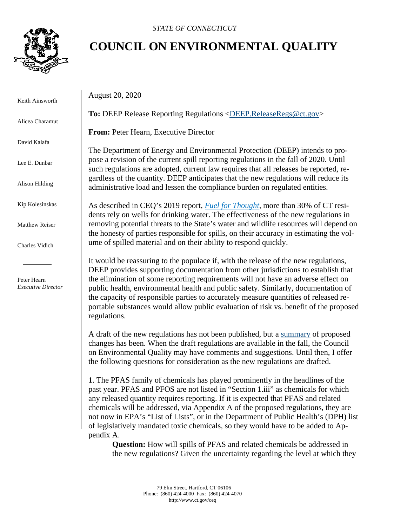

Keith Ainsworth

Alicea Charamut

David Kalafa

Lee E. Dunbar

Alison Hilding

Kip Kolesinskas

Matthew Reiser

Charles Vidich

 Peter Hearn *Executive Director*

## **COUNCIL ON ENVIRONMENTAL QUALITY**

August 20, 2020

**To:** DEEP Release Reporting Regulations [<DEEP.ReleaseRegs@ct.gov>](mailto:DEEP.ReleaseRegs@ct.gov)

**From:** Peter Hearn, Executive Director

The Department of Energy and Environmental Protection (DEEP) intends to propose a revision of the current spill reporting regulations in the fall of 2020. Until such regulations are adopted, current law requires that all releases be reported, regardless of the quantity. DEEP anticipates that the new regulations will reduce its administrative load and lessen the compliance burden on regulated entities.

As described in CEQ's 2019 report, *[Fuel for Thought](https://portal.ct.gov/-/media/CEQ/Fuel-for-Thought--Recommendations-to-Reduce-the-Incidences-and-Severity-of-Accidental-Releases-of-Ho.pdf)*, more than 30% of CT residents rely on wells for drinking water. The effectiveness of the new regulations in removing potential threats to the State's water and wildlife resources will depend on the honesty of parties responsible for spills, on their accuracy in estimating the volume of spilled material and on their ability to respond quickly.

It would be reassuring to the populace if, with the release of the new regulations, DEEP provides supporting documentation from other jurisdictions to establish that the elimination of some reporting requirements will not have an adverse effect on public health, environmental health and public safety. Similarly, documentation of the capacity of responsible parties to accurately measure quantities of released reportable substances would allow public evaluation of risk vs. benefit of the proposed regulations.

A draft of the new regulations has not been published, but a [summary](https://portal.ct.gov/DEEP/Emergency-Response-and-Spill-Prevention/Emergency-Response-and-Spill-Prevention) of proposed changes has been. When the draft regulations are available in the fall, the Council on Environmental Quality may have comments and suggestions. Until then, I offer the following questions for consideration as the new regulations are drafted.

1. The PFAS family of chemicals has played prominently in the headlines of the past year. PFAS and PFOS are not listed in "Section 1.iii" as chemicals for which any released quantity requires reporting. If it is expected that PFAS and related chemicals will be addressed, via Appendix A of the proposed regulations, they are not now in EPA's "List of Lists", or in the Department of Public Health's (DPH) list of legislatively mandated toxic chemicals, so they would have to be added to Appendix A.

**Question:** How will spills of PFAS and related chemicals be addressed in the new regulations? Given the uncertainty regarding the level at which they